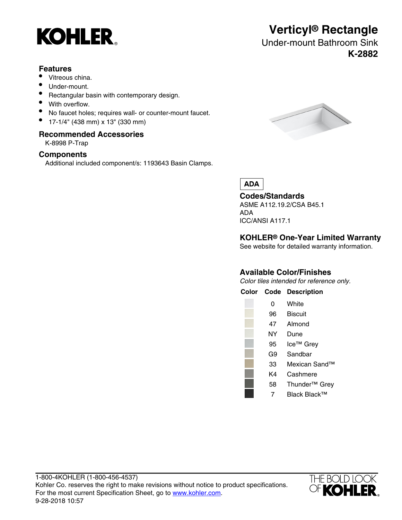

### **Features**

- Vitreous china.
- Under-mount.
- Rectangular basin with contemporary design.
- With overflow.
- No faucet holes; requires wall- or counter-mount faucet.
- 17-1/4" (438 mm) x 13" (330 mm)

### **Recommended Accessories**

K-8998 P-Trap

# **Components**

Additional included component/s: 1193643 Basin Clamps.



**Verticyl® Rectangle** Under-mount Bathroom Sink

**K-2882**

**ADA** 

**Codes/Standards**

ASME A112.19.2/CSA B45.1 ADA ICC/ANSI A117.1

# **KOHLER® One-Year Limited Warranty**

See website for detailed warranty information.

# **Available Color/Finishes**

Color tiles intended for reference only.



7 Black Black™